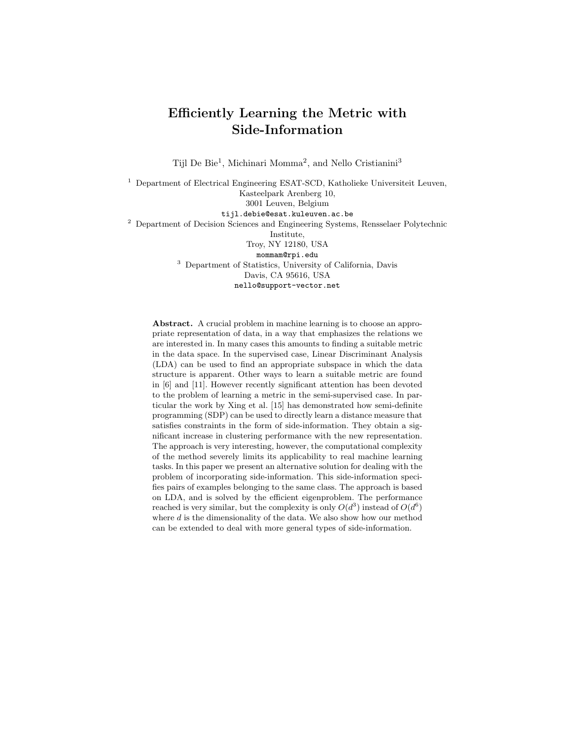# Efficiently Learning the Metric with Side-Information

Tijl De Bie<sup>1</sup>, Michinari Momma<sup>2</sup>, and Nello Cristianini<sup>3</sup>

<sup>1</sup> Department of Electrical Engineering ESAT-SCD, Katholieke Universiteit Leuven, Kasteelpark Arenberg 10, 3001 Leuven, Belgium tijl.debie@esat.kuleuven.ac.be <sup>2</sup> Department of Decision Sciences and Engineering Systems, Rensselaer Polytechnic Institute, Troy, NY 12180, USA mommam@rpi.edu <sup>3</sup> Department of Statistics, University of California, Davis Davis, CA 95616, USA nello@support-vector.net

Abstract. A crucial problem in machine learning is to choose an appropriate representation of data, in a way that emphasizes the relations we are interested in. In many cases this amounts to finding a suitable metric in the data space. In the supervised case, Linear Discriminant Analysis (LDA) can be used to find an appropriate subspace in which the data structure is apparent. Other ways to learn a suitable metric are found in [6] and [11]. However recently significant attention has been devoted to the problem of learning a metric in the semi-supervised case. In particular the work by Xing et al. [15] has demonstrated how semi-definite programming (SDP) can be used to directly learn a distance measure that satisfies constraints in the form of side-information. They obtain a significant increase in clustering performance with the new representation. The approach is very interesting, however, the computational complexity of the method severely limits its applicability to real machine learning tasks. In this paper we present an alternative solution for dealing with the problem of incorporating side-information. This side-information specifies pairs of examples belonging to the same class. The approach is based on LDA, and is solved by the efficient eigenproblem. The performance reached is very similar, but the complexity is only  $O(d^3)$  instead of  $O(d^6)$ where  $d$  is the dimensionality of the data. We also show how our method can be extended to deal with more general types of side-information.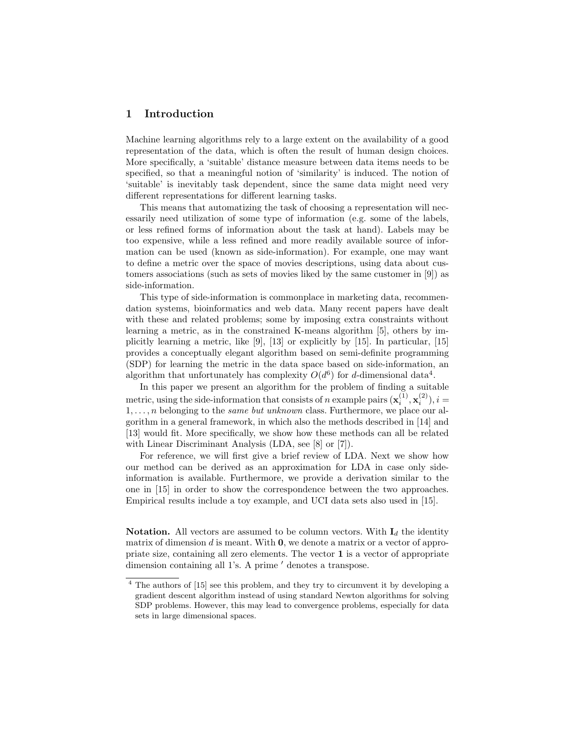## 1 Introduction

Machine learning algorithms rely to a large extent on the availability of a good representation of the data, which is often the result of human design choices. More specifically, a 'suitable' distance measure between data items needs to be specified, so that a meaningful notion of 'similarity' is induced. The notion of 'suitable' is inevitably task dependent, since the same data might need very different representations for different learning tasks.

This means that automatizing the task of choosing a representation will necessarily need utilization of some type of information (e.g. some of the labels, or less refined forms of information about the task at hand). Labels may be too expensive, while a less refined and more readily available source of information can be used (known as side-information). For example, one may want to define a metric over the space of movies descriptions, using data about customers associations (such as sets of movies liked by the same customer in [9]) as side-information.

This type of side-information is commonplace in marketing data, recommendation systems, bioinformatics and web data. Many recent papers have dealt with these and related problems; some by imposing extra constraints without learning a metric, as in the constrained K-means algorithm [5], others by implicitly learning a metric, like  $[9]$ ,  $[13]$  or explicitly by  $[15]$ . In particular,  $[15]$ provides a conceptually elegant algorithm based on semi-definite programming (SDP) for learning the metric in the data space based on side-information, an algorithm that unfortunately has complexity  $O(d^6)$  for d-dimensional data<sup>4</sup>.

In this paper we present an algorithm for the problem of finding a suitable metric, using the side-information that consists of n example pairs  $(\mathbf{x}_i^{(1)}, \mathbf{x}_i^{(2)}), i =$  $1, \ldots, n$  belonging to the *same but unknown* class. Furthermore, we place our algorithm in a general framework, in which also the methods described in [14] and [13] would fit. More specifically, we show how these methods can all be related with Linear Discriminant Analysis (LDA, see [8] or [7]).

For reference, we will first give a brief review of LDA. Next we show how our method can be derived as an approximation for LDA in case only sideinformation is available. Furthermore, we provide a derivation similar to the one in [15] in order to show the correspondence between the two approaches. Empirical results include a toy example, and UCI data sets also used in [15].

**Notation.** All vectors are assumed to be column vectors. With  $I_d$  the identity matrix of dimension  $d$  is meant. With  $\mathbf{0}$ , we denote a matrix or a vector of appropriate size, containing all zero elements. The vector 1 is a vector of appropriate dimension containing all 1's. A prime ' denotes a transpose.

<sup>4</sup> The authors of [15] see this problem, and they try to circumvent it by developing a gradient descent algorithm instead of using standard Newton algorithms for solving SDP problems. However, this may lead to convergence problems, especially for data sets in large dimensional spaces.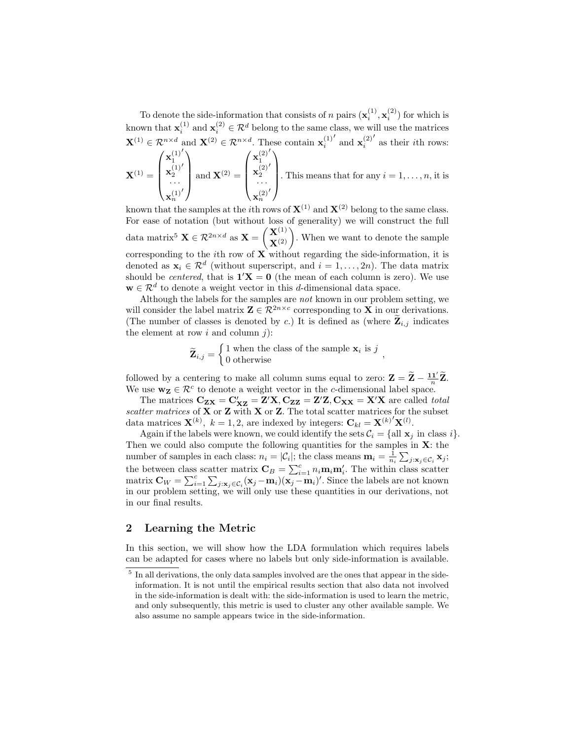To denote the side-information that consists of n pairs  $(\mathbf{x}_i^{(1)}, \mathbf{x}_i^{(2)})$  for which is known that  $\mathbf{x}_i^{(1)}$  and  $\mathbf{x}_i^{(2)} \in \mathcal{R}^d$  belong to the same class, we will use the matrices  $\mathbf{X}^{(1)} \in \mathcal{R}^{n \times d}$  and  $\mathbf{X}^{(2)} \in \mathcal{R}^{n \times d}$ . These contain  $\mathbf{x}_i^{(1)}$  $'$  and  $\mathbf{x}_{i}^{(2)}$  $^\prime$  as their  $i\mathrm{th}$  rows:  $\left( \mathbf{x}_{1}^{(1)}\right)$  $\sqrt{ }$ (1)  $\prime$  $\sqrt{x_1^{(2)}}$  $\sqrt{ }$ (2)  $\overline{a}$ 

$$
\mathbf{X}^{(1)} = \begin{pmatrix} \mathbf{x}_1^{(1)'} \\ \mathbf{x}_2^{(1)'} \\ \dots \\ \mathbf{x}_n^{(1)'} \end{pmatrix} \text{ and } \mathbf{X}^{(2)} = \begin{pmatrix} \mathbf{x}_2^{(2)'} \\ \mathbf{x}_2^{(2)'} \\ \dots \\ \mathbf{x}_n^{(2)'} \end{pmatrix}.
$$
 This means that for any  $i = 1, \dots, n$ , it is

known that the samples at the *i*th rows of  $X^{(1)}$  and  $X^{(2)}$  belong to the same class. For ease of notation (but without loss of generality) we will construct the full data matrix<sup>5</sup>  $\mathbf{X} \in \mathcal{R}^{2n \times d}$  as  $\mathbf{X} = \begin{pmatrix} \mathbf{X}^{(1)} \\ \mathbf{X}^{(2)} \end{pmatrix}$ . When we want to denote the sample corresponding to the *i*th row of  $\mathbf{X}$  without regarding the side-information, it is denoted as  $\mathbf{x}_i \in \mathcal{R}^d$  (without superscript, and  $i = 1, \ldots, 2n$ ). The data matrix should be *centered*, that is  $1'X = 0$  (the mean of each column is zero). We use  $\mathbf{w} \in \mathcal{R}^d$  to denote a weight vector in this d-dimensional data space.

Although the labels for the samples are not known in our problem setting, we will consider the label matrix  $\mathbf{Z} \in \mathcal{R}^{2n \times c}$  corresponding to  $\mathbf{X}$  in our derivations. (The number of classes is denoted by c.) It is defined as (where  $\mathbf{Z}_{i,j}$  indicates the element at row  $i$  and column  $j$ ):

$$
\widetilde{\mathbf{Z}}_{i,j} = \begin{cases} 1 \text{ when the class of the sample } \mathbf{x}_i \text{ is } j \\ 0 \text{ otherwise} \end{cases}
$$

followed by a centering to make all column sums equal to zero:  $\mathbf{Z} = \widetilde{\mathbf{Z}} - \frac{\mathbf{1} \mathbf{1}'}{n} \widetilde{\mathbf{Z}}$ . We use  $\mathbf{w}_z \in \mathcal{R}^c$  to denote a weight vector in the c-dimensional label space.

The matrices  $C_{ZX} = C'_{XZ} = Z'X, C_{ZZ} = Z'Z, C_{XX} = X'X$  are called *total* scatter matrices of  $X$  or  $Z$  with  $X$  or  $Z$ . The total scatter matrices for the subset data matrices  $\mathbf{X}^{(k)}$ ,  $k = 1, 2$ , are indexed by integers:  $\mathbf{C}_{kl} = \mathbf{X}^{(k)'} \mathbf{X}^{(l)}$ .

Again if the labels were known, we could identify the sets  $\mathcal{C}_i = \{\text{all } \mathbf{x}_i \text{ in class } i\}.$ Then we could also compute the following quantities for the samples in  $X$ : the number of samples in each class:  $n_i = |\mathcal{C}_i|$ ; the class means  $\mathbf{m}_i = \frac{1}{n_i} \sum_{j: \mathbf{x}_j \in \mathcal{C}_i} \mathbf{x}_j$ ; the between class scatter matrix  $\mathbf{C}_B = \sum_{i=1}^c n_i \mathbf{m}_i \mathbf{m}'_i$ . The within class scatter matrix  $\mathbf{C}_W = \sum_{i=1}^c \sum_{j: \mathbf{x}_j \in C_i} (\mathbf{x}_j - \mathbf{m}_i) (\mathbf{x}_j - \mathbf{m}_i)'$ . Since the labels are not known in our problem setting, we will only use these quantities in our derivations, not in our final results.

## 2 Learning the Metric

In this section, we will show how the LDA formulation which requires labels can be adapted for cases where no labels but only side-information is available.

<sup>&</sup>lt;sup>5</sup> In all derivations, the only data samples involved are the ones that appear in the sideinformation. It is not until the empirical results section that also data not involved in the side-information is dealt with: the side-information is used to learn the metric, and only subsequently, this metric is used to cluster any other available sample. We also assume no sample appears twice in the side-information.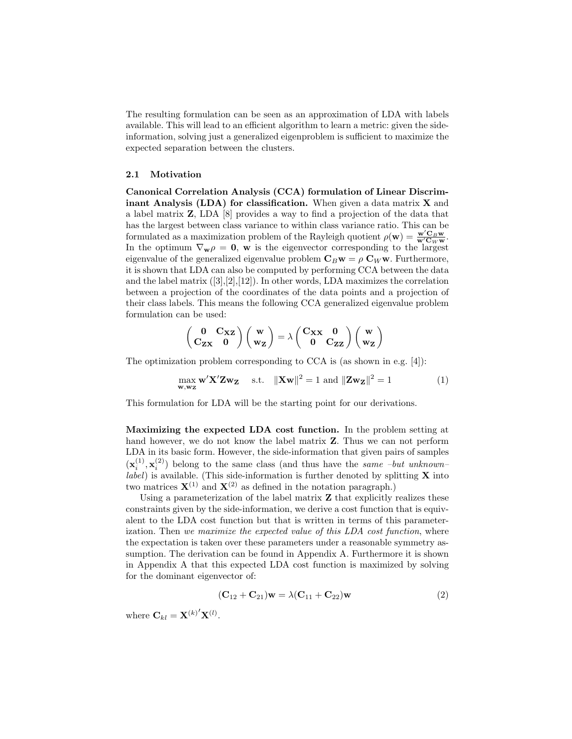The resulting formulation can be seen as an approximation of LDA with labels available. This will lead to an efficient algorithm to learn a metric: given the sideinformation, solving just a generalized eigenproblem is sufficient to maximize the expected separation between the clusters.

#### 2.1 Motivation

Canonical Correlation Analysis (CCA) formulation of Linear Discriminant Analysis (LDA) for classification. When given a data matrix  $X$  and a label matrix Z, LDA [8] provides a way to find a projection of the data that has the largest between class variance to within class variance ratio. This can be formulated as a maximization problem of the Rayleigh quotient  $\rho(\mathbf{w}) = \frac{\mathbf{w}' \mathbf{C}_B \mathbf{w}}{\mathbf{w}' \mathbf{C}_W \mathbf{w}}$ . In the optimum  $\nabla_{\mathbf{w}} \rho = \mathbf{0}$ , w is the eigenvector corresponding to the largest eigenvalue of the generalized eigenvalue problem  $C_Bw = \rho C_W w$ . Furthermore, it is shown that LDA can also be computed by performing CCA between the data and the label matrix  $([3],[2],[12])$ . In other words, LDA maximizes the correlation between a projection of the coordinates of the data points and a projection of their class labels. This means the following CCA generalized eigenvalue problem formulation can be used:

$$
\left(\begin{array}{cc} 0 & C_{XZ} \\ C_{ZX} & 0 \end{array}\right)\left(\begin{array}{c} w \\ w_Z \end{array}\right)=\lambda\left(\begin{array}{cc} C_{XX} & 0 \\ 0 & C_{ZZ} \end{array}\right)\left(\begin{array}{c} w \\ w_Z \end{array}\right)
$$

The optimization problem corresponding to CCA is (as shown in e.g. [4]):

$$
\max_{\mathbf{w}, \mathbf{w_Z}} \mathbf{w}' \mathbf{X}' \mathbf{Z} \mathbf{w_Z} \quad \text{s.t.} \quad \|\mathbf{Xw}\|^2 = 1 \text{ and } \|\mathbf{Zw_Z}\|^2 = 1 \tag{1}
$$

This formulation for LDA will be the starting point for our derivations.

Maximizing the expected LDA cost function. In the problem setting at hand however, we do not know the label matrix Z. Thus we can not perform LDA in its basic form. However, the side-information that given pairs of samples  $(\mathbf{x}_i^{(1)}, \mathbf{x}_i^{(2)})$  belong to the same class (and thus have the same -but unknown $label)$ ) is available. (This side-information is further denoted by splitting  $X$  into two matrices  $X^{(1)}$  and  $X^{(2)}$  as defined in the notation paragraph.)

Using a parameterization of the label matrix  $Z$  that explicitly realizes these constraints given by the side-information, we derive a cost function that is equivalent to the LDA cost function but that is written in terms of this parameterization. Then we maximize the expected value of this LDA cost function, where the expectation is taken over these parameters under a reasonable symmetry assumption. The derivation can be found in Appendix A. Furthermore it is shown in Appendix A that this expected LDA cost function is maximized by solving for the dominant eigenvector of:

$$
(\mathbf{C}_{12} + \mathbf{C}_{21})\mathbf{w} = \lambda(\mathbf{C}_{11} + \mathbf{C}_{22})\mathbf{w}
$$
\n(2)

where  $\mathbf{C}_{kl} = \mathbf{X}^{(k)'} \mathbf{X}^{(l)}$ .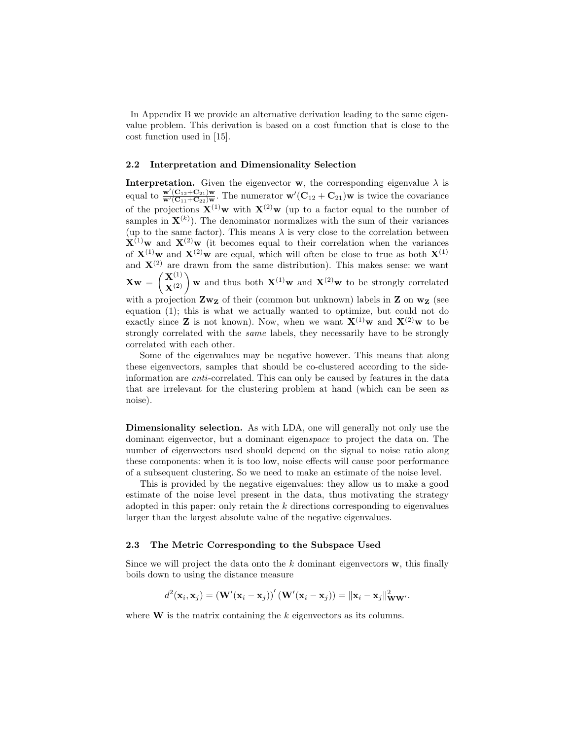In Appendix B we provide an alternative derivation leading to the same eigenvalue problem. This derivation is based on a cost function that is close to the cost function used in [15].

#### 2.2 Interpretation and Dimensionality Selection

**Interpretation.** Given the eigenvector **w**, the corresponding eigenvalue  $\lambda$  is equal to  $\frac{\mathbf{w}'(\mathbf{C}_{12}+\mathbf{C}_{21})\mathbf{w}}{\mathbf{w}'(\mathbf{C}_{11}+\mathbf{C}_{22})\mathbf{w}}$ . The numerator  $\mathbf{w}'(\mathbf{C}_{12}+\mathbf{C}_{21})\mathbf{w}$  is twice the covariance of the projections  $\mathbf{X}^{(1)}\mathbf{w}$  with  $\mathbf{X}^{(2)}\mathbf{w}$  (up to a factor equal to the number of samples in  $\mathbf{X}^{(k)}$ ). The denominator normalizes with the sum of their variances (up to the same factor). This means  $\lambda$  is very close to the correlation between  $\mathbf{X}^{(1)}$ w and  $\mathbf{X}^{(2)}$ w (it becomes equal to their correlation when the variances of  $X^{(1)}$ w and  $X^{(2)}$ w are equal, which will often be close to true as both  $X^{(1)}$ and  $X^{(2)}$  are drawn from the same distribution). This makes sense: we want  $\mathbf{Xw} = \begin{pmatrix} \mathbf{X}^{(1)} \\ \mathbf{X}^{(2)} \end{pmatrix}$  w and thus both  $\mathbf{X}^{(1)}$  w and  $\mathbf{X}^{(2)}$  w to be strongly correlated with a projection  $\mathbf{Zw}_{\mathbf{Z}}$  of their (common but unknown) labels in  $\mathbf{Z}$  on  $\mathbf{w}_{\mathbf{Z}}$  (see equation (1); this is what we actually wanted to optimize, but could not do exactly since **Z** is not known). Now, when we want  $\mathbf{X}^{(1)}$  w and  $\mathbf{X}^{(2)}$  w to be strongly correlated with the same labels, they necessarily have to be strongly correlated with each other.

Some of the eigenvalues may be negative however. This means that along these eigenvectors, samples that should be co-clustered according to the sideinformation are anti-correlated. This can only be caused by features in the data that are irrelevant for the clustering problem at hand (which can be seen as noise).

Dimensionality selection. As with LDA, one will generally not only use the dominant eigenvector, but a dominant eigenspace to project the data on. The number of eigenvectors used should depend on the signal to noise ratio along these components: when it is too low, noise effects will cause poor performance of a subsequent clustering. So we need to make an estimate of the noise level.

This is provided by the negative eigenvalues: they allow us to make a good estimate of the noise level present in the data, thus motivating the strategy adopted in this paper: only retain the  $k$  directions corresponding to eigenvalues larger than the largest absolute value of the negative eigenvalues.

#### 2.3 The Metric Corresponding to the Subspace Used

Since we will project the data onto the  $k$  dominant eigenvectors  $\bf{w}$ , this finally boils down to using the distance measure

$$
d^{2}(\mathbf{x}_{i},\mathbf{x}_{j})=(\mathbf{W}'(\mathbf{x}_{i}-\mathbf{x}_{j}))'\left(\mathbf{W}'(\mathbf{x}_{i}-\mathbf{x}_{j})\right)=\|\mathbf{x}_{i}-\mathbf{x}_{j}\|_{\mathbf{WW}'}^{2}.
$$

where  $W$  is the matrix containing the  $k$  eigenvectors as its columns.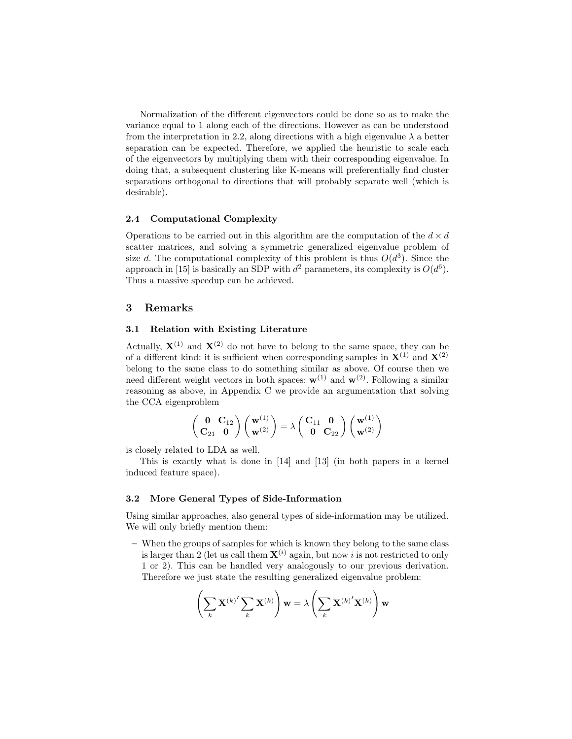Normalization of the different eigenvectors could be done so as to make the variance equal to 1 along each of the directions. However as can be understood from the interpretation in 2.2, along directions with a high eigenvalue  $\lambda$  a better separation can be expected. Therefore, we applied the heuristic to scale each of the eigenvectors by multiplying them with their corresponding eigenvalue. In doing that, a subsequent clustering like K-means will preferentially find cluster separations orthogonal to directions that will probably separate well (which is desirable).

#### 2.4 Computational Complexity

Operations to be carried out in this algorithm are the computation of the  $d \times d$ scatter matrices, and solving a symmetric generalized eigenvalue problem of size d. The computational complexity of this problem is thus  $O(d^3)$ . Since the approach in [15] is basically an SDP with  $d^2$  parameters, its complexity is  $O(d^6)$ . Thus a massive speedup can be achieved.

## 3 Remarks

#### 3.1 Relation with Existing Literature

Actually,  $X^{(1)}$  and  $X^{(2)}$  do not have to belong to the same space, they can be of a different kind: it is sufficient when corresponding samples in  $X^{(1)}$  and  $X^{(2)}$ belong to the same class to do something similar as above. Of course then we need different weight vectors in both spaces:  $w^{(1)}$  and  $w^{(2)}$ . Following a similar reasoning as above, in Appendix C we provide an argumentation that solving the CCA eigenproblem

$$
\left(\begin{array}{cc} \mathbf{0} & \mathbf{C}_{12}\\ \mathbf{C}_{21} & \mathbf{0} \end{array}\right) \left(\begin{array}{c} \mathbf{w}^{(1)}\\ \mathbf{w}^{(2)} \end{array}\right) = \lambda \left(\begin{array}{cc} \mathbf{C}_{11} & \mathbf{0}\\ \mathbf{0} & \mathbf{C}_{22} \end{array}\right) \left(\begin{array}{c} \mathbf{w}^{(1)}\\ \mathbf{w}^{(2)} \end{array}\right)
$$

is closely related to LDA as well.

This is exactly what is done in [14] and [13] (in both papers in a kernel induced feature space).

#### 3.2 More General Types of Side-Information

Using similar approaches, also general types of side-information may be utilized. We will only briefly mention them:

– When the groups of samples for which is known they belong to the same class is larger than 2 (let us call them  $X^{(i)}$  again, but now i is not restricted to only 1 or 2). This can be handled very analogously to our previous derivation. Therefore we just state the resulting generalized eigenvalue problem:

$$
\left(\sum_{k} \mathbf{X}^{(k)'} \sum_{k} \mathbf{X}^{(k)}\right) \mathbf{w} = \lambda \left(\sum_{k} \mathbf{X}^{(k)'} \mathbf{X}^{(k)}\right) \mathbf{w}
$$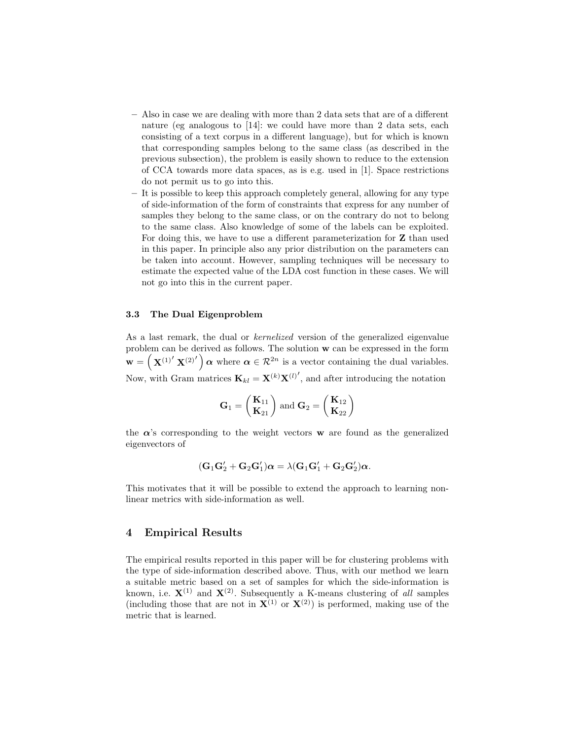- Also in case we are dealing with more than 2 data sets that are of a different nature (eg analogous to [14]: we could have more than 2 data sets, each consisting of a text corpus in a different language), but for which is known that corresponding samples belong to the same class (as described in the previous subsection), the problem is easily shown to reduce to the extension of CCA towards more data spaces, as is e.g. used in [1]. Space restrictions do not permit us to go into this.
- It is possible to keep this approach completely general, allowing for any type of side-information of the form of constraints that express for any number of samples they belong to the same class, or on the contrary do not to belong to the same class. Also knowledge of some of the labels can be exploited. For doing this, we have to use a different parameterization for Z than used in this paper. In principle also any prior distribution on the parameters can be taken into account. However, sampling techniques will be necessary to estimate the expected value of the LDA cost function in these cases. We will not go into this in the current paper.

#### 3.3 The Dual Eigenproblem

As a last remark, the dual or kernelized version of the generalized eigenvalue problem can be derived as follows. The solution w can be expressed in the form  $\mathbf{w} = (\mathbf{X}^{(1)'} \mathbf{X}^{(2)'} ) \boldsymbol{\alpha}$  where  $\boldsymbol{\alpha} \in \mathcal{R}^{2n}$  is a vector containing the dual variables. Now, with Gram matrices  $\mathbf{K}_{kl} = \mathbf{X}^{(k)} \mathbf{X}^{(l)}$ , and after introducing the notation

$$
\mathbf{G}_1 = \begin{pmatrix} \mathbf{K}_{11} \\ \mathbf{K}_{21} \end{pmatrix} \text{ and } \mathbf{G}_2 = \begin{pmatrix} \mathbf{K}_{12} \\ \mathbf{K}_{22} \end{pmatrix}
$$

the  $\alpha$ 's corresponding to the weight vectors **w** are found as the generalized eigenvectors of

$$
(\mathbf{G}_1\mathbf{G}_2'+\mathbf{G}_2\mathbf{G}_1')\boldsymbol{\alpha}=\lambda(\mathbf{G}_1\mathbf{G}_1'+\mathbf{G}_2\mathbf{G}_2')\boldsymbol{\alpha}.
$$

This motivates that it will be possible to extend the approach to learning nonlinear metrics with side-information as well.

## 4 Empirical Results

The empirical results reported in this paper will be for clustering problems with the type of side-information described above. Thus, with our method we learn a suitable metric based on a set of samples for which the side-information is known, i.e.  $X^{(1)}$  and  $X^{(2)}$ . Subsequently a K-means clustering of all samples (including those that are not in  $X^{(1)}$  or  $X^{(2)}$ ) is performed, making use of the metric that is learned.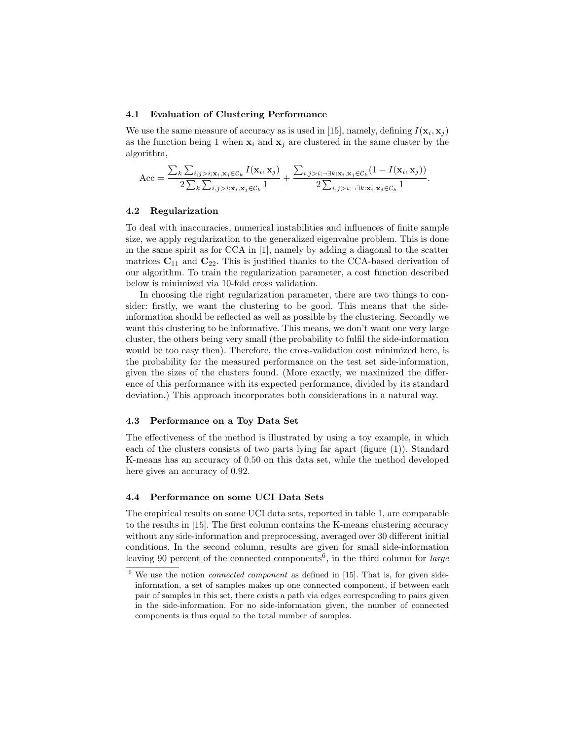#### 4.1 Evaluation of Clustering Performance

We use the same measure of accuracy as is used in [15], namely, defining  $I(\mathbf{x}_i, \mathbf{x}_j)$ as the function being 1 when  $x_i$  and  $x_j$  are clustered in the same cluster by the algorithm,

$$
\text{Acc} = \frac{\sum_{k} \sum_{i,j>i; \mathbf{x}_i, \mathbf{x}_j \in C_k} I(\mathbf{x}_i, \mathbf{x}_j)}{2 \sum_{k} \sum_{i,j>i; \mathbf{x}_i, \mathbf{x}_j \in C_k} 1} + \frac{\sum_{i,j>i; \neg \exists k: \mathbf{x}_i, \mathbf{x}_j \in C_k} (1 - I(\mathbf{x}_i, \mathbf{x}_j))}{2 \sum_{i,j>i; \neg \exists k: \mathbf{x}_i, \mathbf{x}_j \in C_k} 1}.
$$

#### 4.2 Regularization

To deal with inaccuracies, numerical instabilities and influences of finite sample size, we apply regularization to the generalized eigenvalue problem. This is done in the same spirit as for CCA in [1], namely by adding a diagonal to the scatter matrices  $C_{11}$  and  $C_{22}$ . This is justified thanks to the CCA-based derivation of our algorithm. To train the regularization parameter, a cost function described below is minimized via 10-fold cross validation.

In choosing the right regularization parameter, there are two things to consider: firstly, we want the clustering to be good. This means that the sideinformation should be reflected as well as possible by the clustering. Secondly we want this clustering to be informative. This means, we don't want one very large cluster, the others being very small (the probability to fulfil the side-information would be too easy then). Therefore, the cross-validation cost minimized here, is the probability for the measured performance on the test set side-information, given the sizes of the clusters found. (More exactly, we maximized the difference of this performance with its expected performance, divided by its standard deviation.) This approach incorporates both considerations in a natural way.

### 4.3 Performance on a Toy Data Set

The effectiveness of the method is illustrated by using a toy example, in which each of the clusters consists of two parts lying far apart (figure (1)). Standard K-means has an accuracy of 0.50 on this data set, while the method developed here gives an accuracy of 0.92.

#### 4.4 Performance on some UCI Data Sets

The empirical results on some UCI data sets, reported in table 1, are comparable to the results in [15]. The first column contains the K-means clustering accuracy without any side-information and preprocessing, averaged over 30 different initial conditions. In the second column, results are given for small side-information leaving 90 percent of the connected components<sup>6</sup>, in the third column for *large* 

 $6$  We use the notion *connected component* as defined in [15]. That is, for given sideinformation, a set of samples makes up one connected component, if between each pair of samples in this set, there exists a path via edges corresponding to pairs given in the side-information. For no side-information given, the number of connected components is thus equal to the total number of samples.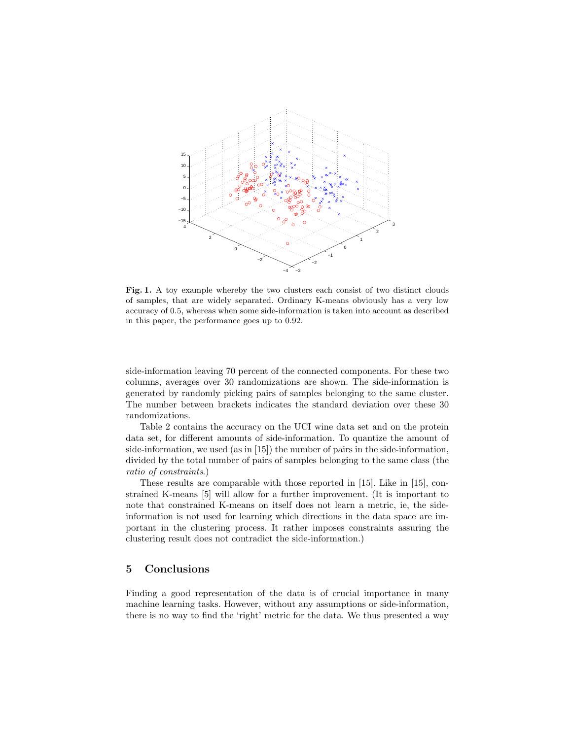

Fig. 1. A toy example whereby the two clusters each consist of two distinct clouds of samples, that are widely separated. Ordinary K-means obviously has a very low accuracy of 0.5, whereas when some side-information is taken into account as described in this paper, the performance goes up to 0.92.

side-information leaving 70 percent of the connected components. For these two columns, averages over 30 randomizations are shown. The side-information is generated by randomly picking pairs of samples belonging to the same cluster. The number between brackets indicates the standard deviation over these 30 randomizations.

Table 2 contains the accuracy on the UCI wine data set and on the protein data set, for different amounts of side-information. To quantize the amount of side-information, we used (as in [15]) the number of pairs in the side-information, divided by the total number of pairs of samples belonging to the same class (the ratio of constraints.)

These results are comparable with those reported in [15]. Like in [15], constrained K-means [5] will allow for a further improvement. (It is important to note that constrained K-means on itself does not learn a metric, ie, the sideinformation is not used for learning which directions in the data space are important in the clustering process. It rather imposes constraints assuring the clustering result does not contradict the side-information.)

# 5 Conclusions

Finding a good representation of the data is of crucial importance in many machine learning tasks. However, without any assumptions or side-information, there is no way to find the 'right' metric for the data. We thus presented a way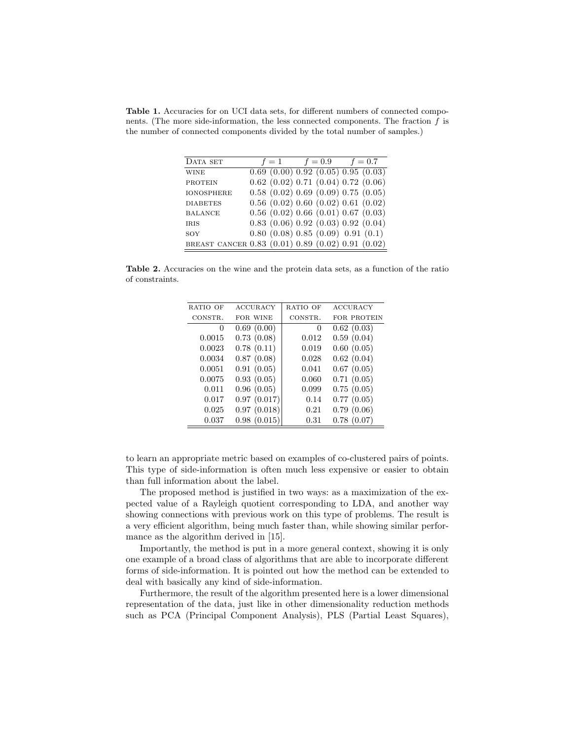Table 1. Accuracies for on UCI data sets, for different numbers of connected components. (The more side-information, the less connected components. The fraction  $f$  is the number of connected components divided by the total number of samples.)

| DATA SET                                          | $f=1$ | $f = 0.9$ $f = 0.7$                             |  |
|---------------------------------------------------|-------|-------------------------------------------------|--|
| <b>WINE</b>                                       |       | $0.69$ $(0.00)$ $0.92$ $(0.05)$ $0.95$ $(0.03)$ |  |
| <b>PROTEIN</b>                                    |       | $0.62$ $(0.02)$ $0.71$ $(0.04)$ $0.72$ $(0.06)$ |  |
| <b>IONOSPHERE</b>                                 |       | $0.58$ $(0.02)$ $0.69$ $(0.09)$ $0.75$ $(0.05)$ |  |
| <b>DIABETES</b>                                   |       | $0.56$ $(0.02)$ $0.60$ $(0.02)$ $0.61$ $(0.02)$ |  |
| <b>BALANCE</b>                                    |       | $0.56$ $(0.02)$ $0.66$ $(0.01)$ $0.67$ $(0.03)$ |  |
| <b>IRIS</b>                                       |       | $0.83$ $(0.06)$ $0.92$ $(0.03)$ $0.92$ $(0.04)$ |  |
| SOY                                               |       | 0.80(0.08)0.85(0.09)0.91(0.1)                   |  |
| BREAST CANCER 0.83 (0.01) 0.89 (0.02) 0.91 (0.02) |       |                                                 |  |

Table 2. Accuracies on the wine and the protein data sets, as a function of the ratio of constraints.

| RATIO OF | <b>ACCURACY</b> | RATIO OF | <b>ACCURACY</b>    |
|----------|-----------------|----------|--------------------|
| CONSTR.  | FOR WINE        | CONSTR.  | <b>FOR PROTEIN</b> |
| $\theta$ | 0.69(0.00)      | $\theta$ | 0.62(0.03)         |
| 0.0015   | 0.73(0.08)      | 0.012    | 0.59(0.04)         |
| 0.0023   | 0.78(0.11)      | 0.019    | 0.60(0.05)         |
| 0.0034   | 0.87(0.08)      | 0.028    | 0.62(0.04)         |
| 0.0051   | 0.91(0.05)      | 0.041    | 0.67(0.05)         |
| 0.0075   | 0.93(0.05)      | 0.060    | 0.71(0.05)         |
| 0.011    | 0.96(0.05)      | 0.099    | 0.75(0.05)         |
| 0.017    | 0.97(0.017)     | 0.14     | 0.77(0.05)         |
| 0.025    | 0.97(0.018)     | 0.21     | 0.79(0.06)         |
| 0.037    | 0.98(0.015)     | 0.31     | 0.78(0.07)         |

to learn an appropriate metric based on examples of co-clustered pairs of points. This type of side-information is often much less expensive or easier to obtain than full information about the label.

The proposed method is justified in two ways: as a maximization of the expected value of a Rayleigh quotient corresponding to LDA, and another way showing connections with previous work on this type of problems. The result is a very efficient algorithm, being much faster than, while showing similar performance as the algorithm derived in [15].

Importantly, the method is put in a more general context, showing it is only one example of a broad class of algorithms that are able to incorporate different forms of side-information. It is pointed out how the method can be extended to deal with basically any kind of side-information.

Furthermore, the result of the algorithm presented here is a lower dimensional representation of the data, just like in other dimensionality reduction methods such as PCA (Principal Component Analysis), PLS (Partial Least Squares),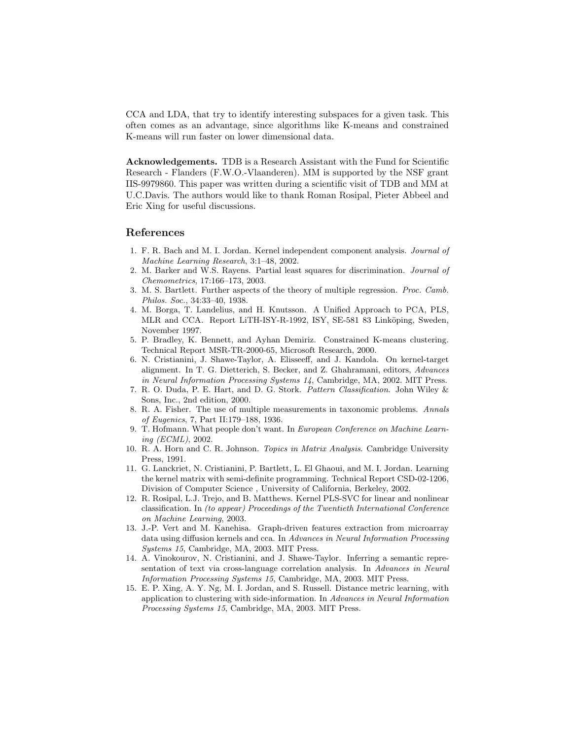CCA and LDA, that try to identify interesting subspaces for a given task. This often comes as an advantage, since algorithms like K-means and constrained K-means will run faster on lower dimensional data.

Acknowledgements. TDB is a Research Assistant with the Fund for Scientific Research - Flanders (F.W.O.-Vlaanderen). MM is supported by the NSF grant IIS-9979860. This paper was written during a scientific visit of TDB and MM at U.C.Davis. The authors would like to thank Roman Rosipal, Pieter Abbeel and Eric Xing for useful discussions.

## References

- 1. F. R. Bach and M. I. Jordan. Kernel independent component analysis. Journal of Machine Learning Research, 3:1–48, 2002.
- 2. M. Barker and W.S. Rayens. Partial least squares for discrimination. Journal of Chemometrics, 17:166–173, 2003.
- 3. M. S. Bartlett. Further aspects of the theory of multiple regression. Proc. Camb. Philos. Soc., 34:33–40, 1938.
- 4. M. Borga, T. Landelius, and H. Knutsson. A Unified Approach to PCA, PLS, MLR and CCA. Report LiTH-ISY-R-1992, ISY, SE-581 83 Linköping, Sweden, November 1997.
- 5. P. Bradley, K. Bennett, and Ayhan Demiriz. Constrained K-means clustering. Technical Report MSR-TR-2000-65, Microsoft Research, 2000.
- 6. N. Cristianini, J. Shawe-Taylor, A. Elisseeff, and J. Kandola. On kernel-target alignment. In T. G. Dietterich, S. Becker, and Z. Ghahramani, editors, Advances in Neural Information Processing Systems 14, Cambridge, MA, 2002. MIT Press.
- 7. R. O. Duda, P. E. Hart, and D. G. Stork. Pattern Classification. John Wiley & Sons, Inc., 2nd edition, 2000.
- 8. R. A. Fisher. The use of multiple measurements in taxonomic problems. Annals of Eugenics, 7, Part II:179–188, 1936.
- 9. T. Hofmann. What people don't want. In European Conference on Machine Learning (ECML), 2002.
- 10. R. A. Horn and C. R. Johnson. Topics in Matrix Analysis. Cambridge University Press, 1991.
- 11. G. Lanckriet, N. Cristianini, P. Bartlett, L. El Ghaoui, and M. I. Jordan. Learning the kernel matrix with semi-definite programming. Technical Report CSD-02-1206, Division of Computer Science , University of California, Berkeley, 2002.
- 12. R. Rosipal, L.J. Trejo, and B. Matthews. Kernel PLS-SVC for linear and nonlinear classification. In (to appear) Proceedings of the Twentieth International Conference on Machine Learning, 2003.
- 13. J.-P. Vert and M. Kanehisa. Graph-driven features extraction from microarray data using diffusion kernels and cca. In Advances in Neural Information Processing Systems 15, Cambridge, MA, 2003. MIT Press.
- 14. A. Vinokourov, N. Cristianini, and J. Shawe-Taylor. Inferring a semantic representation of text via cross-language correlation analysis. In Advances in Neural Information Processing Systems 15, Cambridge, MA, 2003. MIT Press.
- 15. E. P. Xing, A. Y. Ng, M. I. Jordan, and S. Russell. Distance metric learning, with application to clustering with side-information. In Advances in Neural Information Processing Systems 15, Cambridge, MA, 2003. MIT Press.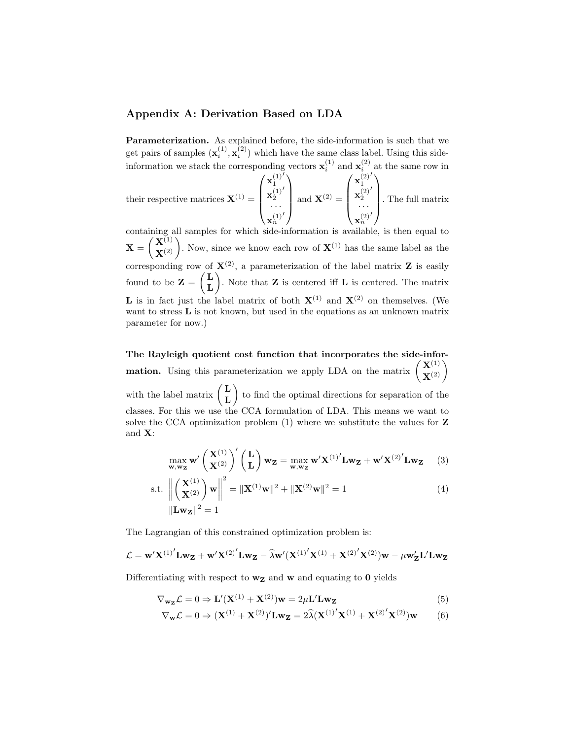## Appendix A: Derivation Based on LDA

Parameterization. As explained before, the side-information is such that we get pairs of samples  $(\mathbf{x}_i^{(1)}, \mathbf{x}_i^{(2)})$  which have the same class label. Using this side $i \rightarrow \lambda_i$ information we stack the corresponding vectors  $\mathbf{x}_i^{(1)}$  and  $\mathbf{x}_i^{(2)}$  at the same row in  $\overline{\prime}$  $\prime$ 

their respective matrices  $X^{(1)} =$  $\sqrt{ }$  $\overline{\phantom{a}}$  $\mathbf{x}_1^{(1)}$  $\mathbf{x}_2^{(1)}$  $\overline{a}$ · · ·  $\mathbf{x}_n^{(1)}$  $\overline{a}$  $\setminus$ and  $\mathbf{X}^{(2)} =$  $\sqrt{ }$  $\overline{\phantom{a}}$  $\mathbf{x}_1^{(2)}$  $\mathbf{x}_2^{(2)}$  $\prime$ · · ·  $\mathbf{x}_n^{(2)}$  $\prime$  $\setminus$ . The full matrix

containing all samples for which side-information is available, is then equal to  $\mathbf{X} = \begin{pmatrix} \mathbf{X}^{(1)} \\ \mathbf{X}^{(2)} \end{pmatrix}$ . Now, since we know each row of  $\mathbf{X}^{(1)}$  has the same label as the corresponding row of  $X^{(2)}$ , a parameterization of the label matrix **Z** is easily found to be  $\mathbf{Z} = \begin{pmatrix} \mathbf{L} \\ \mathbf{L} \end{pmatrix}$ L ). Note that  $Z$  is centered iff  $L$  is centered. The matrix **L** is in fact just the label matrix of both  $X^{(1)}$  and  $X^{(2)}$  on themselves. (We want to stress **L** is not known, but used in the equations as an unknown matrix parameter for now.)

The Rayleigh quotient cost function that incorporates the side-infor**mation.** Using this parameterization we apply LDA on the matrix  $\begin{pmatrix} \mathbf{X}^{(1)} \\ \mathbf{X}^{(2)} \end{pmatrix}$ with the label matrix  $\begin{pmatrix} L \\ I \end{pmatrix}$ L to find the optimal directions for separation of the classes. For this we use the CCA formulation of LDA. This means we want to solve the CCA optimization problem  $(1)$  where we substitute the values for Z and X:

$$
\max_{\mathbf{w}, \mathbf{w_Z}} \mathbf{w}' \begin{pmatrix} \mathbf{X}^{(1)} \\ \mathbf{X}^{(2)} \end{pmatrix}' \begin{pmatrix} \mathbf{L} \\ \mathbf{L} \end{pmatrix} \mathbf{w_Z} = \max_{\mathbf{w}, \mathbf{w_Z}} \mathbf{w}' \mathbf{X}^{(1)'} \mathbf{L} \mathbf{w_Z} + \mathbf{w}' \mathbf{X}^{(2)'} \mathbf{L} \mathbf{w_Z} \tag{3}
$$

s.t. 
$$
\left\| \begin{pmatrix} \mathbf{X}^{(1)} \\ \mathbf{X}^{(2)} \end{pmatrix} \mathbf{w} \right\|^2 = \|\mathbf{X}^{(1)}\mathbf{w}\|^2 + \|\mathbf{X}^{(2)}\mathbf{w}\|^2 = 1
$$
 (4)  
 $\|\mathbf{L}\mathbf{wz}\|^2 = 1$ 

The Lagrangian of this constrained optimization problem is:

$$
\mathcal{L} = \mathbf{w}' \mathbf{X}^{(1)}' \mathbf{L} \mathbf{w}_{\mathbf{Z}} + \mathbf{w}' \mathbf{X}^{(2)}' \mathbf{L} \mathbf{w}_{\mathbf{Z}} - \widehat{\lambda} \mathbf{w}' (\mathbf{X}^{(1)}' \mathbf{X}^{(1)} + \mathbf{X}^{(2)}' \mathbf{X}^{(2)}) \mathbf{w} - \mu \mathbf{w}'_{\mathbf{Z}} \mathbf{L}' \mathbf{L} \mathbf{w}_{\mathbf{Z}}
$$

Differentiating with respect to  $w_Z$  and w and equating to 0 yields

$$
\nabla_{\mathbf{w}_{\mathbf{Z}}} \mathcal{L} = 0 \Rightarrow \mathbf{L}'(\mathbf{X}^{(1)} + \mathbf{X}^{(2)})\mathbf{w} = 2\mu \mathbf{L}' \mathbf{L} \mathbf{w}_{\mathbf{Z}}
$$
(5)

$$
\nabla_{\mathbf{w}} \mathcal{L} = 0 \Rightarrow (\mathbf{X}^{(1)} + \mathbf{X}^{(2)})' \mathbf{L} \mathbf{w}_{\mathbf{Z}} = 2 \widehat{\lambda} (\mathbf{X}^{(1)'} \mathbf{X}^{(1)} + \mathbf{X}^{(2)'} \mathbf{X}^{(2)}) \mathbf{w}
$$
(6)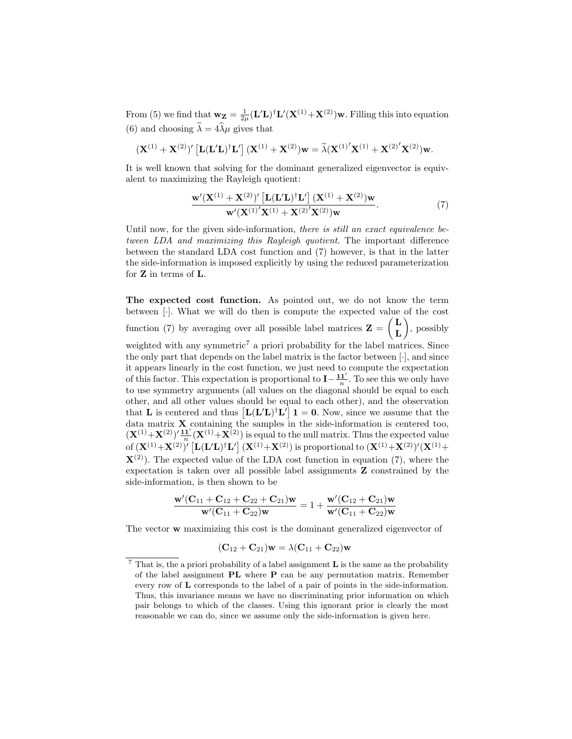From (5) we find that  $w_Z = \frac{1}{2\mu} (L'L)^{\dagger} L'(X^{(1)} + X^{(2)})w$ . Filling this into equation (6) and choosing  $\tilde{\lambda} = 4\tilde{\lambda}\mu$  gives that

$$
(\mathbf{X}^{(1)} + \mathbf{X}^{(2)})' [\mathbf{L}(\mathbf{L}'\mathbf{L})^{\dagger} \mathbf{L}'] (\mathbf{X}^{(1)} + \mathbf{X}^{(2)}) \mathbf{w} = \widetilde{\lambda} (\mathbf{X}^{(1)'} \mathbf{X}^{(1)} + \mathbf{X}^{(2)'} \mathbf{X}^{(2)}) \mathbf{w}.
$$

It is well known that solving for the dominant generalized eigenvector is equivalent to maximizing the Rayleigh quotient:

$$
\frac{\mathbf{w}'(\mathbf{X}^{(1)} + \mathbf{X}^{(2)})'\left[\mathbf{L}(\mathbf{L}'\mathbf{L})^{\dagger}\mathbf{L}'\right](\mathbf{X}^{(1)} + \mathbf{X}^{(2)})\mathbf{w}}{\mathbf{w}'(\mathbf{X}^{(1)'}\mathbf{X}^{(1)} + \mathbf{X}^{(2)'}\mathbf{X}^{(2)})\mathbf{w}}.
$$
(7)

Until now, for the given side-information, there is still an exact equivalence between LDA and maximizing this Rayleigh quotient. The important difference between the standard LDA cost function and (7) however, is that in the latter the side-information is imposed explicitly by using the reduced parameterization for Z in terms of L.

The expected cost function. As pointed out, we do not know the term between [·]. What we will do then is compute the expected value of the cost function (7) by averaging over all possible label matrices  $\mathbf{Z} = \begin{pmatrix} \mathbf{L} \\ \mathbf{r} \end{pmatrix}$ L , possibly weighted with any symmetric<sup>7</sup> a priori probability for the label matrices. Since the only part that depends on the label matrix is the factor between [·], and since it appears linearly in the cost function, we just need to compute the expectation of this factor. This expectation is proportional to  $I - \frac{11'}{n}$ . To see this we only have to use symmetry arguments (all values on the diagonal should be equal to each other, and all other values should be equal to each other), and the observation that **L** is centered and thus  $[L(L'L)^{\dagger}L']$  **1** = **0**. Now, since we assume that the data matrix X containing the samples in the side-information is centered too,  $(X^{(1)}+X^{(2)})'\frac{11'}{n}(X^{(1)}+X^{(2)})$  is equal to the null matrix. Thus the expected value of  $({\bf X}^{(1)}+{\bf X}^{(2)})'$   $\left[{\bf L}({\bf L}'{\bf L})^\dagger{\bf L}'\right]({\bf X}^{(1)}+{\bf X}^{(2)})$  is proportional to  $({\bf X}^{(1)}+{\bf X}^{(2)})'({\bf X}^{(1)}+$  $\mathbf{X}^{(2)}$ ). The expected value of the LDA cost function in equation (7), where the expectation is taken over all possible label assignments Z constrained by the side-information, is then shown to be

$$
\frac{{\mathbf w}'({\mathbf C}_{11}+{\mathbf C}_{12}+{\mathbf C}_{22}+{\mathbf C}_{21}){\mathbf w}}{{\mathbf w}'({\mathbf C}_{11}+{\mathbf C}_{22}){\mathbf w}}=1+\frac{{\mathbf w}'({\mathbf C}_{12}+{\mathbf C}_{21}){\mathbf w}}{{\mathbf w}'({\mathbf C}_{11}+{\mathbf C}_{22}){\mathbf w}}
$$

The vector w maximizing this cost is the dominant generalized eigenvector of

$$
(\mathbf{C}_{12} + \mathbf{C}_{21})\mathbf{w} = \lambda(\mathbf{C}_{11} + \mathbf{C}_{22})\mathbf{w}
$$

 $7$  That is, the a priori probability of a label assignment **L** is the same as the probability of the label assignment PL where P can be any permutation matrix. Remember every row of L corresponds to the label of a pair of points in the side-information. Thus, this invariance means we have no discriminating prior information on which pair belongs to which of the classes. Using this ignorant prior is clearly the most reasonable we can do, since we assume only the side-information is given here.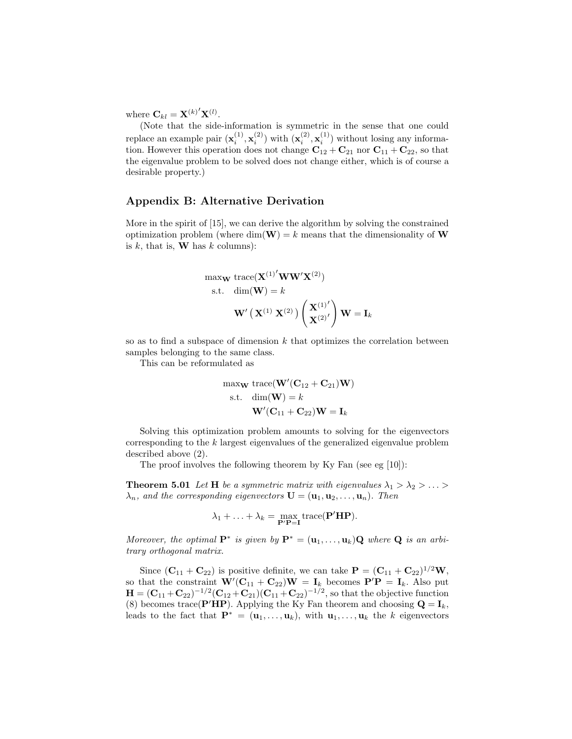where  $\mathbf{C}_{kl} = \mathbf{X}^{(k)'} \mathbf{X}^{(l)}$ .

(Note that the side-information is symmetric in the sense that one could replace an example pair  $(\mathbf{x}_i^{(1)}, \mathbf{x}_i^{(2)})$  with  $(\mathbf{x}_i^{(2)}, \mathbf{x}_i^{(1)})$  without losing any information. However this operation does not change  $C_{12} + C_{21}$  nor  $C_{11} + C_{22}$ , so that the eigenvalue problem to be solved does not change either, which is of course a desirable property.)

## Appendix B: Alternative Derivation

More in the spirit of [15], we can derive the algorithm by solving the constrained optimization problem (where  $\dim(\mathbf{W}) = k$  means that the dimensionality of **W** is  $k$ , that is, **W** has  $k$  columns):

$$
\begin{aligned}\n\text{max}_{\mathbf{W}} \text{ trace}(\mathbf{X}^{(1)'}\mathbf{W}\mathbf{W}'\mathbf{X}^{(2)})\\ \n\text{s.t.} \quad & \text{dim}(\mathbf{W}) = k\\
& \mathbf{W}'\left(\mathbf{X}^{(1)}\ \mathbf{X}^{(2)}\right)\left(\frac{\mathbf{X}^{(1)'} }{\mathbf{X}^{(2)'}}\right)\mathbf{W} = \mathbf{I}_k\n\end{aligned}
$$

so as to find a subspace of dimension  $k$  that optimizes the correlation between samples belonging to the same class.

This can be reformulated as

$$
\begin{aligned}\n\text{max}_{\mathbf{W}} \text{ trace}(\mathbf{W}'(\mathbf{C}_{12} + \mathbf{C}_{21})\mathbf{W}) \\
\text{s.t.} \quad \text{dim}(\mathbf{W}) = k \\
\mathbf{W}'(\mathbf{C}_{11} + \mathbf{C}_{22})\mathbf{W} = \mathbf{I}_k\n\end{aligned}
$$

Solving this optimization problem amounts to solving for the eigenvectors corresponding to the k largest eigenvalues of the generalized eigenvalue problem described above (2).

The proof involves the following theorem by Ky Fan (see eg [10]):

**Theorem 5.01** Let **H** be a symmetric matrix with eigenvalues  $\lambda_1 > \lambda_2 > ... >$  $\lambda_n$ , and the corresponding eigenvectors  $\mathbf{U} = (\mathbf{u}_1, \mathbf{u}_2, \dots, \mathbf{u}_n)$ . Then

$$
\lambda_1 + \ldots + \lambda_k = \max_{\mathbf{P'}\mathbf{P}=\mathbf{I}} \text{trace}(\mathbf{P'}\mathbf{H}\mathbf{P}).
$$

Moreover, the optimal  $\mathbf{P}^*$  is given by  $\mathbf{P}^* = (\mathbf{u}_1, \dots, \mathbf{u}_k) \mathbf{Q}$  where  $\mathbf{Q}$  is an arbitrary orthogonal matrix.

Since  $(\mathbf{C}_{11} + \mathbf{C}_{22})$  is positive definite, we can take  $\mathbf{P} = (\mathbf{C}_{11} + \mathbf{C}_{22})^{1/2}\mathbf{W}$ , so that the constraint  $\mathbf{W}'(\mathbf{C}_{11} + \mathbf{C}_{22})\mathbf{W} = \mathbf{I}_k$  becomes  $\mathbf{P}'\mathbf{P} = \mathbf{I}_k$ . Also put  ${\bf H}=({\bf C}_{11}+{\bf C}_{22})^{-1/2}({\bf C}_{12}+{\bf C}_{21})({\bf C}_{11}+{\bf C}_{22})^{-1/2},$  so that the objective function (8) becomes trace( $\mathbf{P}'\mathbf{H}\mathbf{P}$ ). Applying the Ky Fan theorem and choosing  $\mathbf{Q} = \mathbf{I}_k$ , leads to the fact that  $\mathbf{P}^* = (\mathbf{u}_1, \dots, \mathbf{u}_k)$ , with  $\mathbf{u}_1, \dots, \mathbf{u}_k$  the k eigenvectors